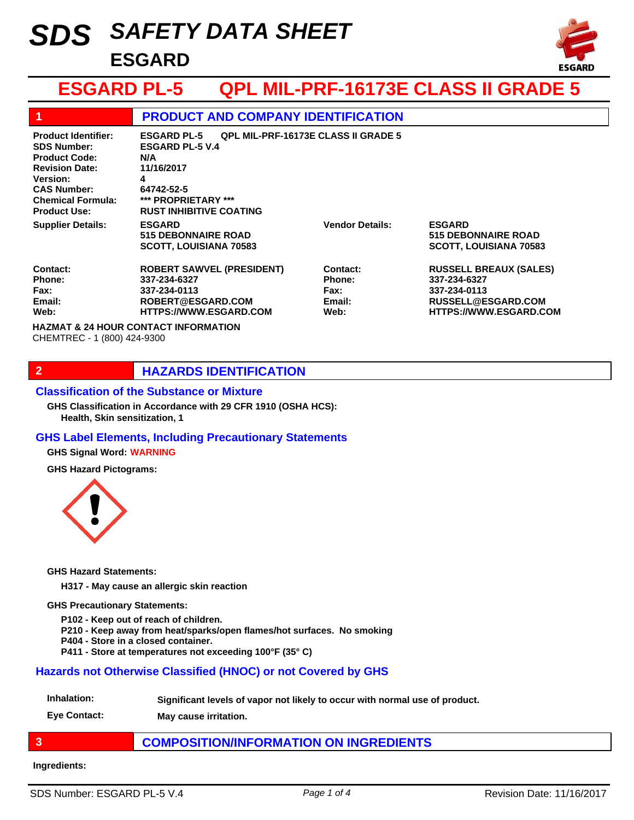# *SAFETY DATA SHEET SDS* **ESGARD**



## **ESGARD PL-5 QPL MIL-PRF-16173E CLASS II GRADE 5**

| 1                                                                                                                                                                                             | <b>PRODUCT AND COMPANY IDENTIFICATION</b>                                                                                                                                                   |                                                            |                                                                                                                      |
|-----------------------------------------------------------------------------------------------------------------------------------------------------------------------------------------------|---------------------------------------------------------------------------------------------------------------------------------------------------------------------------------------------|------------------------------------------------------------|----------------------------------------------------------------------------------------------------------------------|
| <b>Product Identifier:</b><br><b>SDS Number:</b><br><b>Product Code:</b><br><b>Revision Date:</b><br><b>Version:</b><br><b>CAS Number:</b><br><b>Chemical Formula:</b><br><b>Product Use:</b> | <b>QPL MIL-PRF-16173E CLASS II GRADE 5</b><br><b>ESGARD PL-5</b><br><b>ESGARD PL-5 V.4</b><br>N/A<br>11/16/2017<br>4<br>64742-52-5<br>*** PROPRIETARY ***<br><b>RUST INHIBITIVE COATING</b> |                                                            |                                                                                                                      |
| <b>Supplier Details:</b>                                                                                                                                                                      | <b>ESGARD</b><br><b>515 DEBONNAIRE ROAD</b><br><b>SCOTT, LOUISIANA 70583</b>                                                                                                                | <b>Vendor Details:</b>                                     | <b>ESGARD</b><br><b>515 DEBONNAIRE ROAD</b><br><b>SCOTT, LOUISIANA 70583</b>                                         |
| <b>Contact:</b><br>Phone:<br>Fax:<br>Email:<br>Web:                                                                                                                                           | <b>ROBERT SAWVEL (PRESIDENT)</b><br>337-234-6327<br>337-234-0113<br>ROBERT@ESGARD.COM<br><b>HTTPS://WWW.ESGARD.COM</b>                                                                      | Contact:<br><b>Phone:</b><br><b>Fax:</b><br>Email:<br>Web: | <b>RUSSELL BREAUX (SALES)</b><br>337-234-6327<br>337-234-0113<br>RUSSELL@ESGARD.COM<br><b>HTTPS://WWW.ESGARD.COM</b> |
| <b>HAZMAT &amp; 24 HOUR CONTACT INFORMATION</b><br>CHEMTREC - 1 (800) 424-9300                                                                                                                |                                                                                                                                                                                             |                                                            |                                                                                                                      |

## **2 HAZARDS IDENTIFICATION**

#### **Classification of the Substance or Mixture**

**Health, Skin sensitization, 1 GHS Classification in Accordance with 29 CFR 1910 (OSHA HCS):**

#### **GHS Label Elements, Including Precautionary Statements**

**GHS Signal Word: WARNING**

**GHS Hazard Pictograms:**



**GHS Hazard Statements:**

**H317 - May cause an allergic skin reaction**

#### **GHS Precautionary Statements:**

**P102 - Keep out of reach of children.**

**P210 - Keep away from heat/sparks/open flames/hot surfaces. No smoking**

- **P404 Store in a closed container.**
- **P411 Store at temperatures not exceeding 100°F (35° C)**

#### **Hazards not Otherwise Classified (HNOC) or not Covered by GHS**

**Inhalation: Significant levels of vapor not likely to occur with normal use of product.**

**Eye Contact: May cause irritation.**

## **3 COMPOSITION/INFORMATION ON INGREDIENTS**

#### **Ingredients:**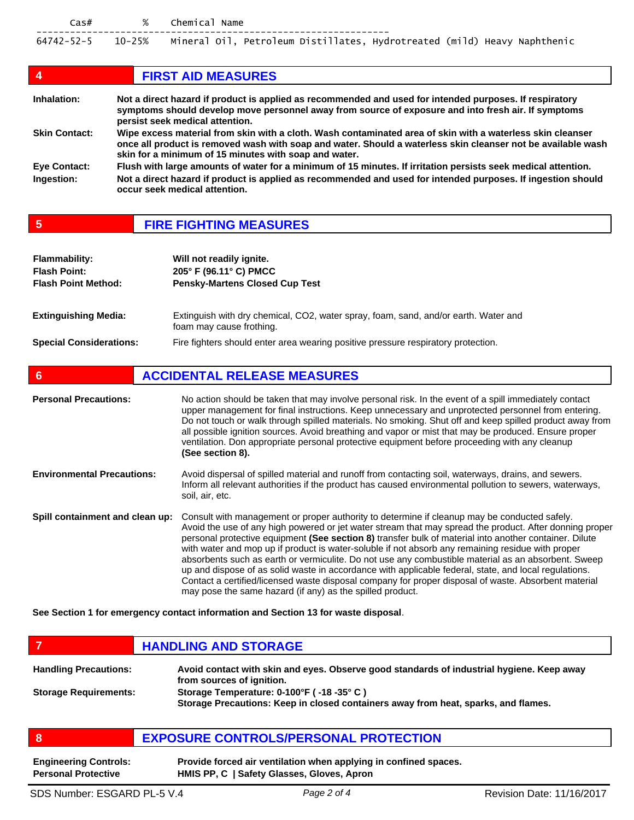| $\textsf{Cas}\#$ | % Chemical Name                                                                            |  |
|------------------|--------------------------------------------------------------------------------------------|--|
|                  | 64742-52-5 10-25% Mineral Oil, Petroleum Distillates, Hydrotreated (mild) Heavy Naphthenic |  |

| 4                    | <b>FIRST AID MEASURES</b>                                                                                                                                                                                                                                                           |
|----------------------|-------------------------------------------------------------------------------------------------------------------------------------------------------------------------------------------------------------------------------------------------------------------------------------|
| Inhalation:          | Not a direct hazard if product is applied as recommended and used for intended purposes. If respiratory<br>symptoms should develop move personnel away from source of exposure and into fresh air. If symptoms<br>persist seek medical attention.                                   |
| <b>Skin Contact:</b> | Wipe excess material from skin with a cloth. Wash contaminated area of skin with a waterless skin cleanser<br>once all product is removed wash with soap and water. Should a waterless skin cleanser not be available wash<br>skin for a minimum of 15 minutes with soap and water. |
| Eye Contact:         | Flush with large amounts of water for a minimum of 15 minutes. If irritation persists seek medical attention.                                                                                                                                                                       |
| Ingestion:           | Not a direct hazard if product is applied as recommended and used for intended purposes. If ingestion should<br>occur seek medical attention.                                                                                                                                       |

| <b>FIRE FIGHTING MEASURES</b> |
|-------------------------------|
|-------------------------------|

| <b>Flammability:</b><br><b>Flash Point:</b><br><b>Flash Point Method:</b> | Will not readily ignite.<br>205° F (96.11° C) PMCC<br><b>Pensky-Martens Closed Cup Test</b>                     |
|---------------------------------------------------------------------------|-----------------------------------------------------------------------------------------------------------------|
| <b>Extinguishing Media:</b>                                               | Extinguish with dry chemical, CO2, water spray, foam, sand, and/or earth. Water and<br>foam may cause frothing. |
| <b>Special Considerations:</b>                                            | Fire fighters should enter area wearing positive pressure respiratory protection.                               |

| 6                                 | <b>ACCIDENTAL RELEASE MEASURES</b>                                                                                                                                                                                                                                                                                                                                                                                                                                                                                                                                                                                                                                                                                                                                                                          |
|-----------------------------------|-------------------------------------------------------------------------------------------------------------------------------------------------------------------------------------------------------------------------------------------------------------------------------------------------------------------------------------------------------------------------------------------------------------------------------------------------------------------------------------------------------------------------------------------------------------------------------------------------------------------------------------------------------------------------------------------------------------------------------------------------------------------------------------------------------------|
| <b>Personal Precautions:</b>      | No action should be taken that may involve personal risk. In the event of a spill immediately contact<br>upper management for final instructions. Keep unnecessary and unprotected personnel from entering.<br>Do not touch or walk through spilled materials. No smoking. Shut off and keep spilled product away from<br>all possible ignition sources. Avoid breathing and vapor or mist that may be produced. Ensure proper<br>ventilation. Don appropriate personal protective equipment before proceeding with any cleanup<br>(See section 8).                                                                                                                                                                                                                                                         |
| <b>Environmental Precautions:</b> | Avoid dispersal of spilled material and runoff from contacting soil, waterways, drains, and sewers.<br>Inform all relevant authorities if the product has caused environmental pollution to sewers, waterways,<br>soil, air, etc.                                                                                                                                                                                                                                                                                                                                                                                                                                                                                                                                                                           |
| Spill containment and clean up:   | Consult with management or proper authority to determine if cleanup may be conducted safely.<br>Avoid the use of any high powered or jet water stream that may spread the product. After donning proper<br>personal protective equipment (See section 8) transfer bulk of material into another container. Dilute<br>with water and mop up if product is water-soluble if not absorb any remaining residue with proper<br>absorbents such as earth or vermiculite. Do not use any combustible material as an absorbent. Sweep<br>up and dispose of as solid waste in accordance with applicable federal, state, and local regulations.<br>Contact a certified/licensed waste disposal company for proper disposal of waste. Absorbent material<br>may pose the same hazard (if any) as the spilled product. |

**See Section 1 for emergency contact information and Section 13 for waste disposal**.

**FIGURE 12 IN STORAGE** 

| <b>Handling Precautions:</b> | Avoid contact with skin and eyes. Observe good standards of industrial hygiene. Keep away<br>from sources of ignition.          |
|------------------------------|---------------------------------------------------------------------------------------------------------------------------------|
| <b>Storage Requirements:</b> | Storage Temperature: 0-100°F (-18 -35° C)<br>Storage Precautions: Keep in closed containers away from heat, sparks, and flames. |

|  | <b>EXPOSURE CONTROLS/PERSONAL PROTECTION</b> |
|--|----------------------------------------------|
|--|----------------------------------------------|

| <b>Engineering Controls:</b> | Provide forced air ventilation when applying in confined spaces. |
|------------------------------|------------------------------------------------------------------|
| <b>Personal Protective</b>   | HMIS PP, C   Safety Glasses, Gloves, Apron                       |

٦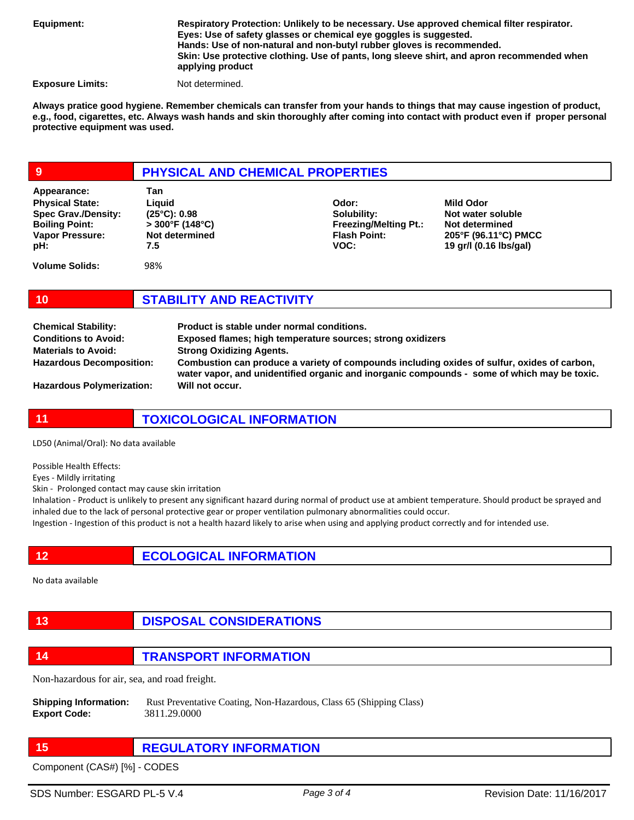**Equipment:**

**Respiratory Protection: Unlikely to be necessary. Use approved chemical filter respirator. Eyes: Use of safety glasses or chemical eye goggles is suggested. Hands: Use of non-natural and non-butyl rubber gloves is recommended. Skin: Use protective clothing. Use of pants, long sleeve shirt, and apron recommended when applying product** 

**Exposure Limits:** Not determined.

**Always pratice good hygiene. Remember chemicals can transfer from your hands to things that may cause ingestion of product, e.g., food, cigarettes, etc. Always wash hands and skin thoroughly after coming into contact with product even if proper personal protective equipment was used.** 

## **9 PHYSICAL AND CHEMICAL PROPERTIES**

| Appearance:                | Tan                   |                              |                        |
|----------------------------|-----------------------|------------------------------|------------------------|
| <b>Physical State:</b>     | Liauid                | Odor:                        | Mild Odor              |
| <b>Spec Grav./Density:</b> | $(25^{\circ}C): 0.98$ | Solubility:                  | Not water soluble      |
| <b>Boiling Point:</b>      | $>$ 300°F (148°C)     | <b>Freezing/Melting Pt.:</b> | Not determined         |
| Vapor Pressure:            | Not determined        | <b>Flash Point:</b>          | 205°F (96.11°C) PMCC   |
| pH:                        | 7.5                   | VOC:                         | 19 gr/l (0.16 lbs/gal) |
| <b>Volume Solids:</b>      | 98%                   |                              |                        |

**10 STABILITY AND REACTIVITY**

| <b>Chemical Stability:</b>       | Product is stable under normal conditions.                                                                                                                                                 |
|----------------------------------|--------------------------------------------------------------------------------------------------------------------------------------------------------------------------------------------|
| <b>Conditions to Avoid:</b>      | Exposed flames; high temperature sources; strong oxidizers                                                                                                                                 |
| <b>Materials to Avoid:</b>       | <b>Strong Oxidizing Agents.</b>                                                                                                                                                            |
| <b>Hazardous Decomposition:</b>  | Combustion can produce a variety of compounds including oxides of sulfur, oxides of carbon,<br>water vapor, and unidentified organic and inorganic compounds - some of which may be toxic. |
| <b>Hazardous Polymerization:</b> | Will not occur.                                                                                                                                                                            |

**11 TOXICOLOGICAL INFORMATION**

LD50 (Animal/Oral): No data available

Possible Health Effects:

Eyes - Mildly irritating

Skin - Prolonged contact may cause skin irritation

Inhalation - Product is unlikely to present any significant hazard during normal of product use at ambient temperature. Should product be sprayed and inhaled due to the lack of personal protective gear or proper ventilation pulmonary abnormalities could occur.

Ingestion - Ingestion of this product is not a health hazard likely to arise when using and applying product correctly and for intended use.

## **12 ECOLOGICAL INFORMATION**

No data available

**13 DISPOSAL CONSIDERATIONS**

**14 TRANSPORT INFORMATION**

Non-hazardous for air, sea, and road freight.

**Shipping Information:** Rust Preventative Coating, Non-Hazardous, Class 65 (Shipping Class) **Export Code:** 3811.29.0000

## **15 REGULATORY INFORMATION**

Component (CAS#) [%] - CODES